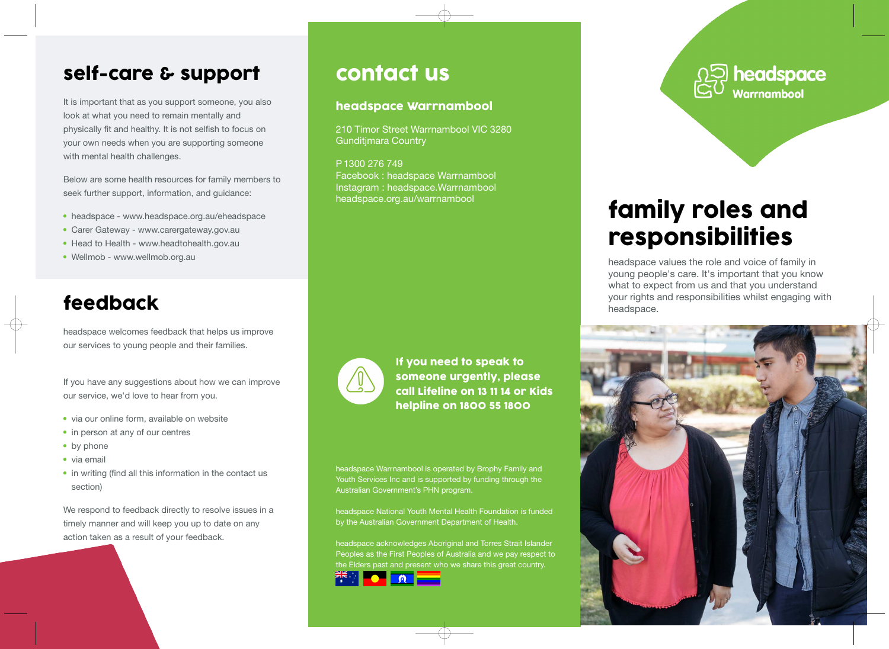#### self-care & support

It is important that as you support someone, you also look at what you need to remain mentally and physically fit and healthy. It is not selfish to focus on your own needs when you are supporting someone with mental health challenges.

Below are some health resources for family members to seek further support, information, and guidance:

- headspace www.headspace.org.au/eheadspace
- Carer Gateway www.carergateway.gov.au
- Head to Health www.headtohealth.gov.au
- Wellmob www.wellmob.org.au

### feedback

headspace welcomes feedback that helps us improve our services to young people and their families.

If you have any suggestions about how we can improve our service, we'd love to hear from you.

- via our online form, available on website
- in person at any of our centres
- by phone
- via email
- in writing (find all this information in the contact us section)

We respond to feedback directly to resolve issues in a timely manner and will keep you up to date on any action taken as a result of your feedback.

### contact us

#### headspace Warrnambool

210 Timor Street Warrnambool VIC 3280 Gunditjmara Country

P 1300 276 749 Facebook : headspace Warrnambool Instagram : headspace.Warrnambool headspace.org.au/warrnambool



If you need to speak to someone urgently, please call Lifeline on 13 11 14 or Kids helpline on 1800 55 1800

headspace Warrnambool is operated by Brophy Family and Youth Services Inc and is supported by funding through the Australian Government's PHN program.

headspace National Youth Mental Health Foundation is funded by the Australian Government Department of Health.

headspace acknowledges Aboriginal and Torres Strait Islander Peoples as the First Peoples of Australia and we pay respect to the Elders past and present who we share this great country.





# family roles and responsibilities

headspace values the role and voice of family in young people's care. It's important that you know what to expect from us and that you understand your rights and responsibilities whilst engaging with headspace.